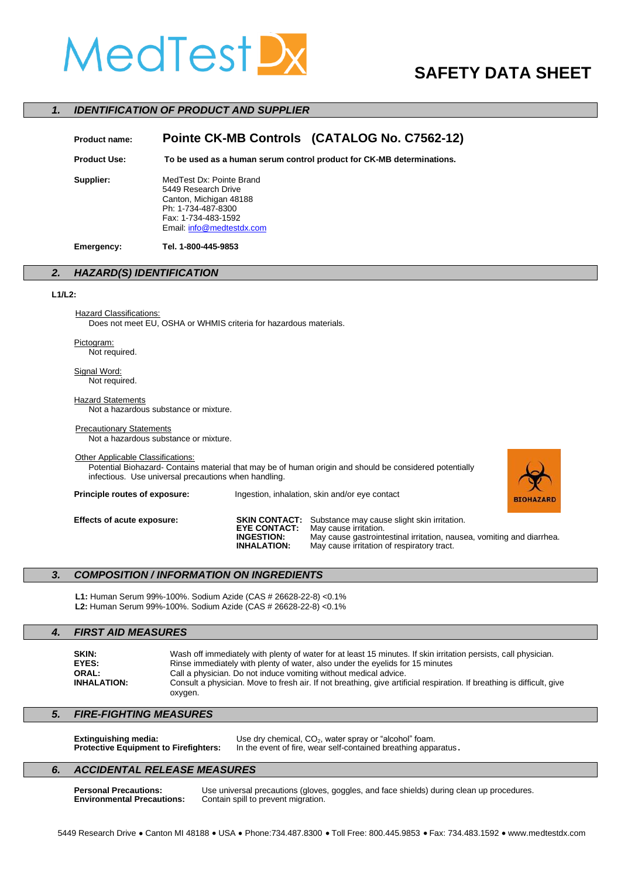# MedTestL

## **SAFETY DATA SHEET**

#### *1. IDENTIFICATION OF PRODUCT AND SUPPLIER*

| <b>Product name:</b> | Pointe CK-MB Controls (CATALOG No. C7562-12)                                                                                                        |  |
|----------------------|-----------------------------------------------------------------------------------------------------------------------------------------------------|--|
| <b>Product Use:</b>  | To be used as a human serum control product for CK-MB determinations.                                                                               |  |
| Supplier:            | MedTest Dx: Pointe Brand<br>5449 Research Drive<br>Canton, Michigan 48188<br>Ph: 1-734-487-8300<br>Fax: 1-734-483-1592<br>Email: info@medtestdx.com |  |
| Emergency:           | Tel. 1-800-445-9853                                                                                                                                 |  |

### *2. HAZARD(S) IDENTIFICATION*

#### **L1/L2:**

**Hazard Classifications:** Does not meet EU, OSHA or WHMIS criteria for hazardous materials.

Pictogram:

Not required.

Signal Word: Not required.

**Hazard Statements** Not a hazardous substance or mixture.

#### **Precautionary Statements**

Not a hazardous substance or mixture.

#### Other Applicable Classifications:

Potential Biohazard- Contains material that may be of human origin and should be considered potentially infectious. Use universal precautions when handling.

**Principle routes of exposure:** Ingestion, inhalation, skin and/or eye contact



**Effects of acute exposure: SKIN CONTACT:** Substance may cause slight skin irritation.<br>**EYE CONTACT:** May cause irritation. **EYE CONTACT:** May cause irritation.<br>**INGESTION:** May cause gastroint **INGESTION:** May cause gastrointestinal irritation, nausea, vomiting and diarrhea. May cause irritation of respiratory tract.

#### *3. COMPOSITION / INFORMATION ON INGREDIENTS*

**L1:** Human Serum 99%-100%. Sodium Azide (CAS # 26628-22-8) <0.1% **L2:** Human Serum 99%-100%. Sodium Azide (CAS # 26628-22-8) <0.1%

#### *4. FIRST AID MEASURES*

| <b>SKIN:</b>       |
|--------------------|
| EYES:              |
| <b>ORAL:</b>       |
| <b>INHALATION:</b> |

Wash off immediately with plenty of water for at least 15 minutes. If skin irritation persists, call physician. Rinse immediately with plenty of water, also under the eyelids for 15 minutes Call a physician. Do not induce vomiting without medical advice. Consult a physician. Move to fresh air. If not breathing, give artificial respiration. If breathing is difficult, give oxygen.

#### *5. FIRE-FIGHTING MEASURES*

|  | <b>Extinguishing media:</b><br><b>Protective Equipment to Firefighters:</b> | Use dry chemical, $CO2$ , water spray or "alcohol" foam.<br>In the event of fire, wear self-contained breathing apparatus. |
|--|-----------------------------------------------------------------------------|----------------------------------------------------------------------------------------------------------------------------|
|--|-----------------------------------------------------------------------------|----------------------------------------------------------------------------------------------------------------------------|

#### *6. ACCIDENTAL RELEASE MEASURES*

**Personal Precautions:** Use universal precautions (gloves, goggles, and face shields) during clean up procedures.<br>**Environmental Precautions:** Contain spill to prevent migration. Contain spill to prevent migration.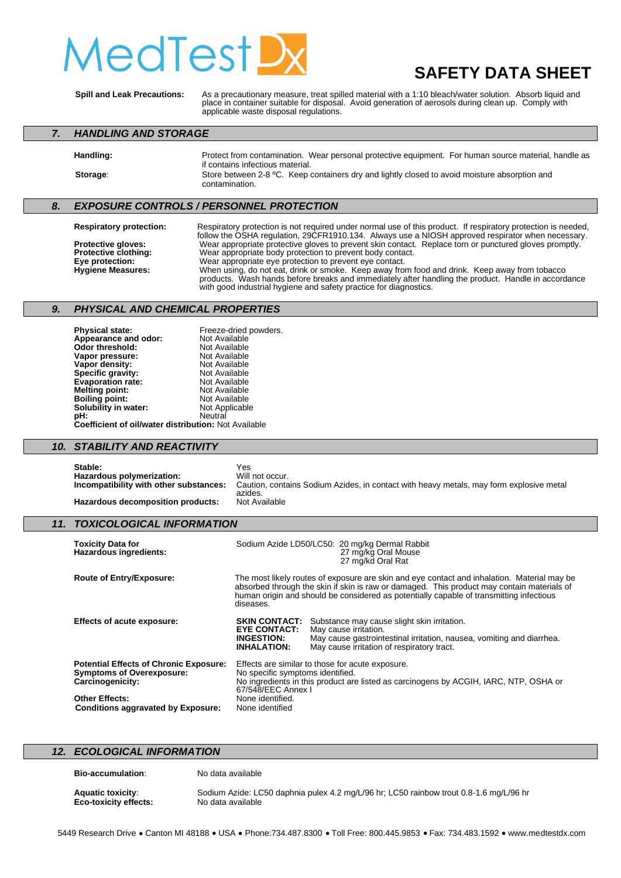# edTest

## **SAFETY DATA SHEET**

**Spill and Leak Precautions:** As a precautionary measure, treat spilled material with a 1:10 bleach/water solution. Absorb liquid and place in container suitable for disposal. Avoid generation of aerosols during clean up. Comply with applicable waste disposal regulations.

#### *7. HANDLING AND STORAGE*

**Handling:** Protect from contamination. Wear personal protective equipment. For human source material, handle as

#### if contains infectious material. **Storage:** Store between 2-8 °C. Keep containers dry and lightly closed to avoid moisture absorption and contamination.

### *8. EXPOSURE CONTROLS / PERSONNEL PROTECTION*

**Respiratory protection:** Respiratory protection is not required under normal use of this product. If respiratory protection is needed, follow the OSHA regulation, 29CFR1910.134. Always use a NIOSH approved respirator when necessary. **Protective gloves:** Wear appropriate protective gloves to prevent skin contact. Replace torn or punctured gloves promptly.<br>**Protective clothing:** Wear appropriate body protection to prevent body contact. **Protective clothing:** Wear appropriate body protection to prevent body contact.<br> **Eve protection:** Wear appropriate eve protection to prevent eve contact. **Eye protection:** Wear appropriate eye protection to prevent eye contact.<br> **Hygiene Measures:** When using, do not eat, drink or smoke. Keep away from **Hygiene Measures:** When using, do not eat, drink or smoke. Keep away from food and drink. Keep away from tobacco products. Wash hands before breaks and immediately after handling the product. Handle in accordance with good industrial hygiene and safety practice for diagnostics.

### *9. PHYSICAL AND CHEMICAL PROPERTIES*

**Physical state:** Freeze-dried powders.<br> **Appearance and odor:** Not Available **Appearance and odor:** Not Available<br> **Odor threshold:** Not Available **Odor threshold:** Not Available<br> **Vapor pressure:** Not Available **Vapor pressure:** Not Available<br> **Vapor density:** Not Available **Vapor density:** Not Available<br> **Specific gravity:** Not Available **Specific gravity:** Not Available<br> **Evaporation rate:** Not Available **Evaporation rate:** Not Available<br> **Melting point:** Not Available **Melting point:** Not Available<br> **Boiling point:** Not Available **Boiling point:** Not Available **Solubility in water:** Not Applicable **pH:** Neutral **Coefficient of oil/water distribution:** Not Available

#### *10. STABILITY AND REACTIVITY*

Stable: Yes<br> **Hazardous polymerization:** Will not occur. **Hazardous polymerization:**<br>Incompatibility with other substances: Caution, contains Sodium Azides, in contact with heavy metals, may form explosive metal azides.<br>Not Available **Hazardous decomposition products:** 

#### *11. TOXICOLOGICAL INFORMATION*

| <b>Toxicity Data for</b><br><b>Hazardous ingredients:</b>                                                                      |                                                                                                                                                                                                                                                                                                   | Sodium Azide LD50/LC50: 20 mg/kg Dermal Rabbit<br>27 mg/kg Oral Mouse<br>27 mg/kd Oral Rat                                                                                                  |
|--------------------------------------------------------------------------------------------------------------------------------|---------------------------------------------------------------------------------------------------------------------------------------------------------------------------------------------------------------------------------------------------------------------------------------------------|---------------------------------------------------------------------------------------------------------------------------------------------------------------------------------------------|
| <b>Route of Entry/Exposure:</b>                                                                                                | The most likely routes of exposure are skin and eye contact and inhalation. Material may be<br>absorbed through the skin if skin is raw or damaged. This product may contain materials of<br>human origin and should be considered as potentially capable of transmitting infectious<br>diseases. |                                                                                                                                                                                             |
| <b>Effects of acute exposure:</b>                                                                                              | <b>SKIN CONTACT:</b><br><b>EYE CONTACT:</b><br><b>INGESTION:</b><br><b>INHALATION:</b>                                                                                                                                                                                                            | Substance may cause slight skin irritation.<br>May cause irritation.<br>May cause gastrointestinal irritation, nausea, vomiting and diarrhea.<br>May cause irritation of respiratory tract. |
| <b>Potential Effects of Chronic Exposure:</b><br><b>Symptoms of Overexposure:</b><br>Carcinogenicity:<br><b>Other Effects:</b> | Effects are similar to those for acute exposure.<br>No specific symptoms identified.<br>No ingredients in this product are listed as carcinogens by ACGIH, IARC, NTP, OSHA or<br>67/548/EEC Annex I<br>None identified.                                                                           |                                                                                                                                                                                             |
| <b>Conditions aggravated by Exposure:</b>                                                                                      | None identified                                                                                                                                                                                                                                                                                   |                                                                                                                                                                                             |

#### *12. ECOLOGICAL INFORMATION*

**Bio-accumulation**: No data available

**Aquatic toxicity:** Sodium Azide: LC50 daphnia pulex 4.2 mg/L/96 hr; LC50 rainbow trout 0.8-1.6 mg/L/96 hr<br> **Eco-toxicity effects:** No data available **Eco-toxicity effects:**